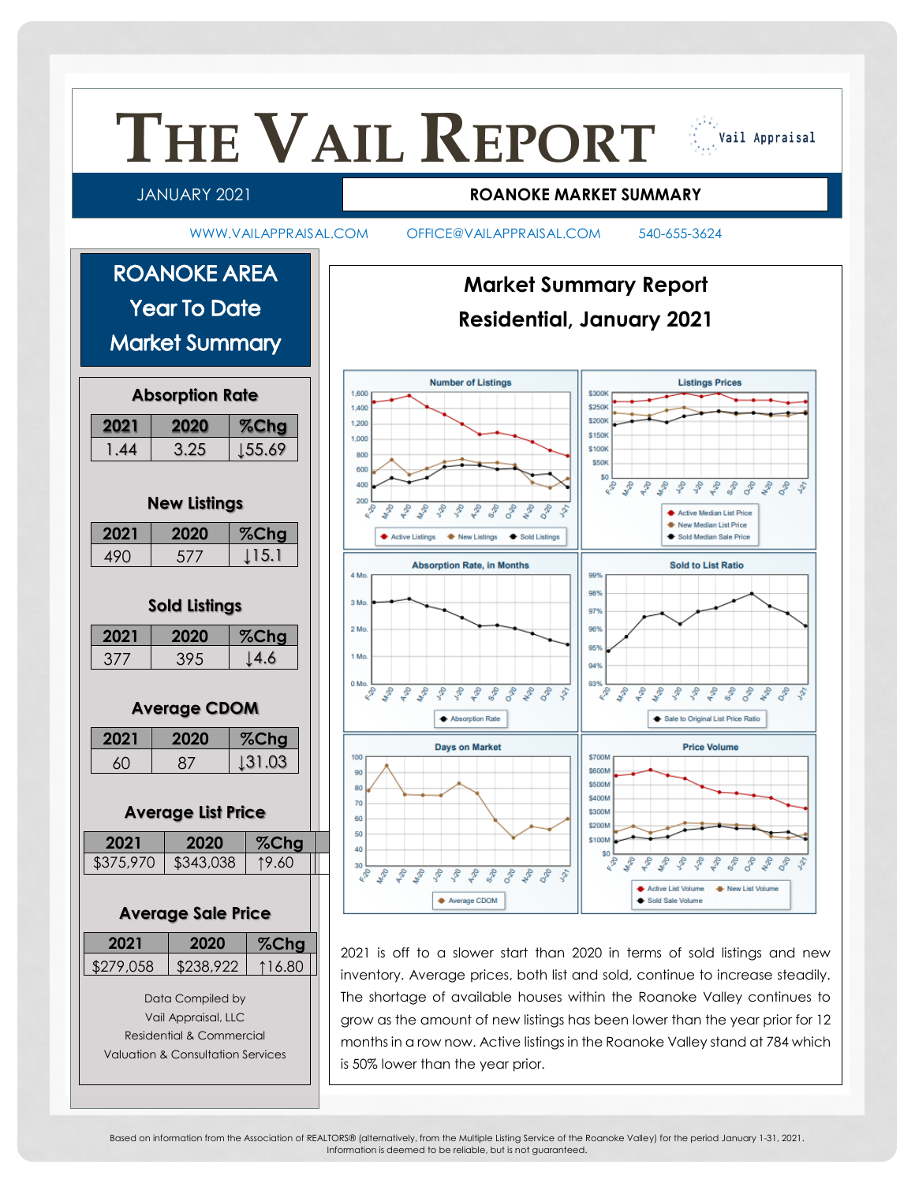

Based on information from the Association of REALTORS® (alternatively, from the Multiple Listing Service of the Roanoke Valley) for the period January 1-31, 2021. Information is deemed to be reliable, but is not guaranteed.